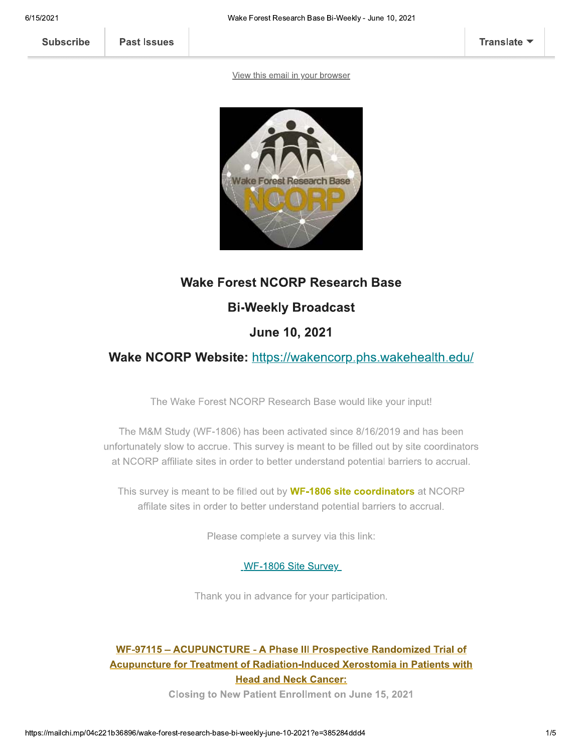**Subscribe** 

View this email in your browser



#### **Wake Forest NCORP Research Base**

## **Bi-Weekly Broadcast**

## **June 10, 2021**

#### Wake NCORP Website: https://wakencorp.phs.wakehealth.edu/

The Wake Forest NCORP Research Base would like your input!

The M&M Study (WF-1806) has been activated since 8/16/2019 and has been unfortunately slow to accrue. This survey is meant to be filled out by site coordinators at NCORP affiliate sites in order to better understand potential barriers to accrual.

This survey is meant to be filled out by WF-1806 site coordinators at NCORP affilate sites in order to better understand potential barriers to accrual.

Please complete a survey via this link:

WF-1806 Site Survey

Thank you in advance for your participation.

## WF-97115 - ACUPUNCTURE - A Phase III Prospective Randomized Trial of Acupuncture for Treatment of Radiation-Induced Xerostomia in Patients with **Head and Neck Cancer:**

**Closing to New Patient Enrollment on June 15, 2021**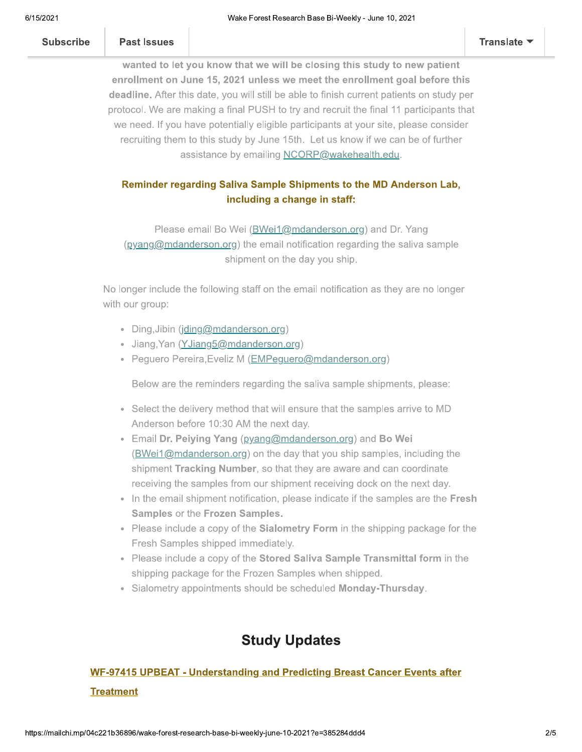wanted to let you know that we will be closing this study to new patient enrollment on June 15, 2021 unless we meet the enrollment goal before this deadline. After this date, you will still be able to finish current patients on study per protocol. We are making a final PUSH to try and recruit the final 11 participants that we need. If you have potentially eligible participants at your site, please consider recruiting them to this study by June 15th. Let us know if we can be of further assistance by emailing NCORP@wakehealth.edu.

#### Reminder regarding Saliva Sample Shipments to the MD Anderson Lab, including a change in staff:

Please email Bo Wei (BWei1@mdanderson.org) and Dr. Yang  $(p\gamma)$  (pyang@mdanderson.org) the email notification regarding the saliva sample shipment on the day you ship.

No longer include the following staff on the email notification as they are no longer with our group:

- · Ding, Jibin (jding@mdanderson.org)
- · Jiang, Yan (YJiang5@mdanderson.org)
- Peguero Pereira, Eveliz M (EMPeguero@mdanderson.org)

Below are the reminders regarding the saliva sample shipments, please:

- Select the delivery method that will ensure that the samples arrive to MD Anderson before 10:30 AM the next day.
- Email Dr. Peiying Yang (pyang@mdanderson.org) and Bo Wei (BWei1@mdanderson.org) on the day that you ship samples, including the shipment Tracking Number, so that they are aware and can coordinate receiving the samples from our shipment receiving dock on the next day.
- In the email shipment notification, please indicate if the samples are the Fresh Samples or the Frozen Samples.
- Please include a copy of the Sialometry Form in the shipping package for the Fresh Samples shipped immediately.
- Please include a copy of the Stored Saliva Sample Transmittal form in the shipping package for the Frozen Samples when shipped.
- Sialometry appointments should be scheduled Monday-Thursday.

## **Study Updates**

## **WF-97415 UPBEAT - Understanding and Predicting Breast Cancer Events after Treatment**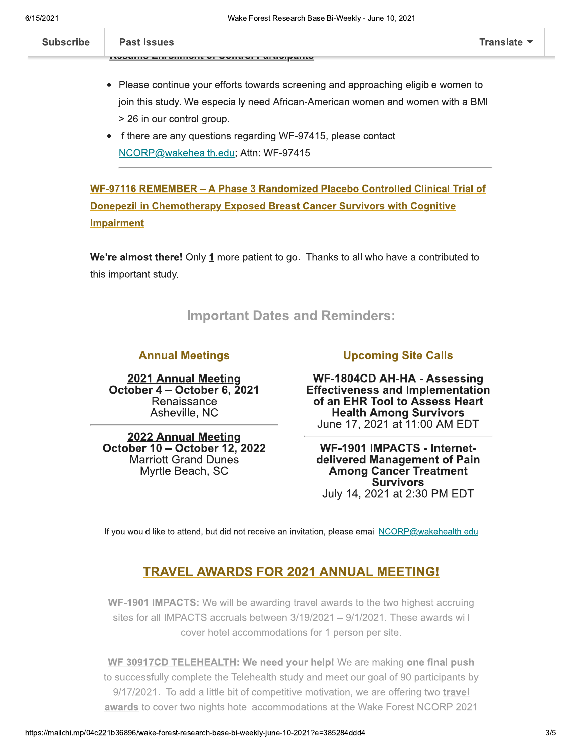| <b>Subscribe</b> | <b>Past Issues</b> |                                              | <b>HOM</b> |
|------------------|--------------------|----------------------------------------------|------------|
|                  |                    | <b>INDIANALLY CONTROLLED IN A THE UNITED</b> |            |

- Please continue your efforts towards screening and approaching eligible women to join this study. We especially need African-American women and women with a BMI > 26 in our control group.
- If there are any questions regarding WF-97415, please contact NCORP@wakehealth.edu; Attn: WF-97415

WF-97116 REMEMBER - A Phase 3 Randomized Placebo Controlled Clinical Trial of **Donepezil in Chemotherapy Exposed Breast Cancer Survivors with Cognitive Impairment** 

We're almost there! Only 1 more patient to go. Thanks to all who have a contributed to this important study.

#### **Important Dates and Reminders:**

#### **Annual Meetings**

2021 Annual Meeting October 4 – October 6, 2021 Renaissance Asheville, NC

**2022 Annual Meeting** October 10 - October 12, 2022 **Marriott Grand Dunes** Myrtle Beach, SC

#### **Upcoming Site Calls**

**WF-1804CD AH-HA - Assessing Effectiveness and Implementation** of an EHR Tool to Assess Heart **Health Among Survivors** June 17, 2021 at 11:00 AM EDT

**WF-1901 IMPACTS - Internet**delivered Management of Pain **Among Cancer Treatment Survivors** July 14, 2021 at 2:30 PM EDT

If you would like to attend, but did not receive an invitation, please email NCORP@wakehealth.edu

#### **TRAVEL AWARDS FOR 2021 ANNUAL MEETING!**

WF-1901 IMPACTS: We will be awarding travel awards to the two highest accruing sites for all IMPACTS accruals between 3/19/2021 - 9/1/2021. These awards will cover hotel accommodations for 1 person per site.

WF 30917CD TELEHEALTH: We need your help! We are making one final push to successfully complete the Telehealth study and meet our goal of 90 participants by 9/17/2021. To add a little bit of competitive motivation, we are offering two travel awards to cover two nights hotel accommodations at the Wake Forest NCORP 2021

slate v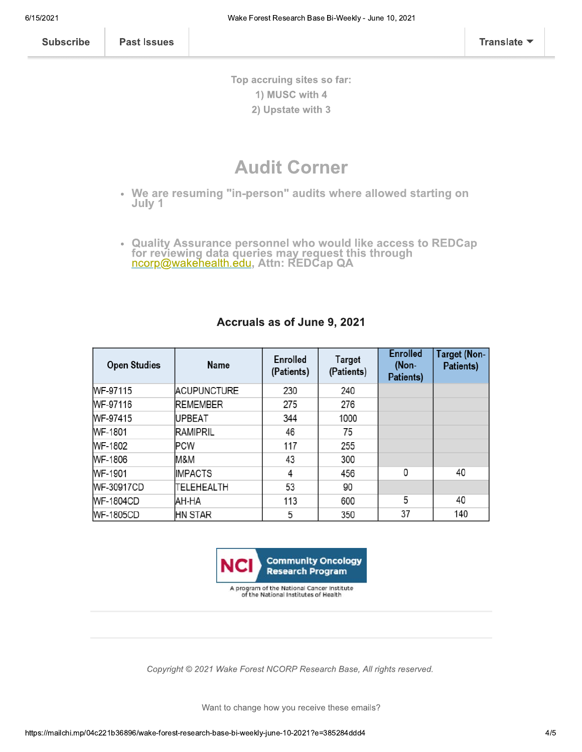**Subscribe** 

**Past Issues** 

Top accruing sites so far: 1) MUSC with 4 2) Upstate with 3

# **Audit Corner**

- We are resuming "in-person" audits where allowed starting on July 1
- **Quality Assurance personnel who would like access to REDCap**  $\bar{\Phi}$ for reviewing data queries may request this through<br>ncorp@wakehealth.edu, Attn: REDCap QA

| <b>Open Studies</b> | Name               | Enrolled<br>(Patients) | Target<br>(Patients) | <b>Enrolled</b><br>(Non-<br>Patients) | <b>Target (Non-</b><br>Patients) |
|---------------------|--------------------|------------------------|----------------------|---------------------------------------|----------------------------------|
| WF-97115            | <b>ACUPUNCTURE</b> | 230                    | 240                  |                                       |                                  |
| WF-97116            | <b>REMEMBER</b>    | 275                    | 276                  |                                       |                                  |
| WF-97415            | UPBEAT             | 344                    | 1000                 |                                       |                                  |
| WF-1801             | <b>RAMIPRIL</b>    | 46                     | 75                   |                                       |                                  |
| WF-1802             | PCW                | 117                    | 255                  |                                       |                                  |
| <b>WF-1806</b>      | M&M                | 43                     | 300                  |                                       |                                  |
| WF-1901             | <b>IMPACTS</b>     | 4                      | 456                  | 0                                     | 40                               |
| WF-30917CD          | TELEHEALTH         | 53                     | 90                   |                                       |                                  |
| <b>WF-1804CD</b>    | AH-HA              | 113                    | 600                  | 5                                     | 40                               |
| <b>WF-1805CD</b>    | <b>HN STAR</b>     | 5                      | 350                  | 37                                    | 140                              |

#### Accruals as of June 9, 2021



A program of the National Cancer Institute<br>of the National Institutes of Health

Copyright © 2021 Wake Forest NCORP Research Base, All rights reserved.

Want to change how you receive these emails?